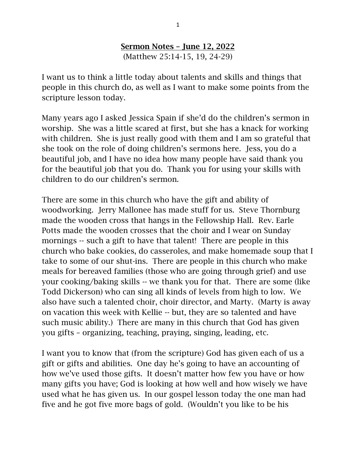I want us to think a little today about talents and skills and things that people in this church do, as well as I want to make some points from the scripture lesson today.

Many years ago I asked Jessica Spain if she'd do the children's sermon in worship. She was a little scared at first, but she has a knack for working with children. She is just really good with them and I am so grateful that she took on the role of doing children's sermons here. Jess, you do a beautiful job, and I have no idea how many people have said thank you for the beautiful job that you do. Thank you for using your skills with children to do our children's sermon.

There are some in this church who have the gift and ability of woodworking. Jerry Mallonee has made stuff for us. Steve Thornburg made the wooden cross that hangs in the Fellowship Hall. Rev. Earle Potts made the wooden crosses that the choir and I wear on Sunday mornings -- such a gift to have that talent! There are people in this church who bake cookies, do casseroles, and make homemade soup that I take to some of our shut-ins. There are people in this church who make meals for bereaved families (those who are going through grief) and use your cooking/baking skills -- we thank you for that. There are some (like Todd Dickerson) who can sing all kinds of levels from high to low. We also have such a talented choir, choir director, and Marty. (Marty is away on vacation this week with Kellie -- but, they are so talented and have such music ability.) There are many in this church that God has given you gifts – organizing, teaching, praying, singing, leading, etc.

I want you to know that (from the scripture) God has given each of us a gift or gifts and abilities. One day he's going to have an accounting of how we've used those gifts. It doesn't matter how few you have or how many gifts you have; God is looking at how well and how wisely we have used what he has given us. In our gospel lesson today the one man had five and he got five more bags of gold. (Wouldn't you like to be his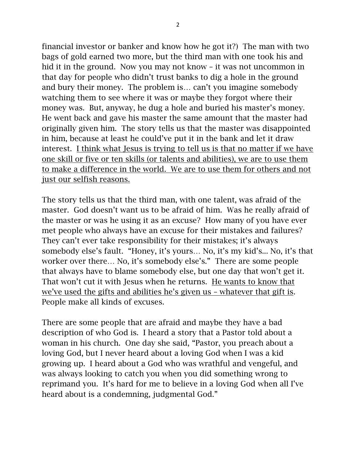financial investor or banker and know how he got it?) The man with two bags of gold earned two more, but the third man with one took his and hid it in the ground. Now you may not know – it was not uncommon in that day for people who didn't trust banks to dig a hole in the ground and bury their money. The problem is… can't you imagine somebody watching them to see where it was or maybe they forgot where their money was. But, anyway, he dug a hole and buried his master's money. He went back and gave his master the same amount that the master had originally given him. The story tells us that the master was disappointed in him, because at least he could've put it in the bank and let it draw interest. I think what Jesus is trying to tell us is that no matter if we have one skill or five or ten skills (or talents and abilities), we are to use them to make a difference in the world. We are to use them for others and not just our selfish reasons.

The story tells us that the third man, with one talent, was afraid of the master. God doesn't want us to be afraid of him. Was he really afraid of the master or was he using it as an excuse? How many of you have ever met people who always have an excuse for their mistakes and failures? They can't ever take responsibility for their mistakes; it's always somebody else's fault. "Honey, it's yours… No, it's my kid's... No, it's that worker over there… No, it's somebody else's." There are some people that always have to blame somebody else, but one day that won't get it. That won't cut it with Jesus when he returns. He wants to know that we've used the gifts and abilities he's given us – whatever that gift is. People make all kinds of excuses.

There are some people that are afraid and maybe they have a bad description of who God is. I heard a story that a Pastor told about a woman in his church. One day she said, "Pastor, you preach about a loving God, but I never heard about a loving God when I was a kid growing up. I heard about a God who was wrathful and vengeful, and was always looking to catch you when you did something wrong to reprimand you. It's hard for me to believe in a loving God when all I've heard about is a condemning, judgmental God."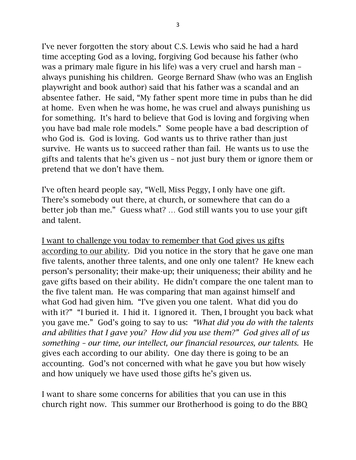I've never forgotten the story about C.S. Lewis who said he had a hard time accepting God as a loving, forgiving God because his father (who was a primary male figure in his life) was a very cruel and harsh man – always punishing his children. George Bernard Shaw (who was an English playwright and book author) said that his father was a scandal and an absentee father. He said, "My father spent more time in pubs than he did at home. Even when he was home, he was cruel and always punishing us for something. It's hard to believe that God is loving and forgiving when you have bad male role models." Some people have a bad description of who God is. God is loving. God wants us to thrive rather than just survive. He wants us to succeed rather than fail. He wants us to use the gifts and talents that he's given us – not just bury them or ignore them or pretend that we don't have them.

I've often heard people say, "Well, Miss Peggy, I only have one gift. There's somebody out there, at church, or somewhere that can do a better job than me." Guess what? … God still wants you to use your gift and talent.

I want to challenge you today to remember that God gives us gifts according to our ability. Did you notice in the story that he gave one man five talents, another three talents, and one only one talent? He knew each person's personality; their make-up; their uniqueness; their ability and he gave gifts based on their ability. He didn't compare the one talent man to the five talent man. He was comparing that man against himself and what God had given him. "I've given you one talent. What did you do with it?" "I buried it. I hid it. I ignored it. Then, I brought you back what you gave me." God's going to say to us: *"What did you do with the talents and abilities that I gave you? How did you use them?" God gives all of us something – our time, our intellect, our financial resources, our talents.* He gives each according to our ability. One day there is going to be an accounting. God's not concerned with what he gave you but how wisely and how uniquely we have used those gifts he's given us.

I want to share some concerns for abilities that you can use in this church right now. This summer our Brotherhood is going to do the BBQ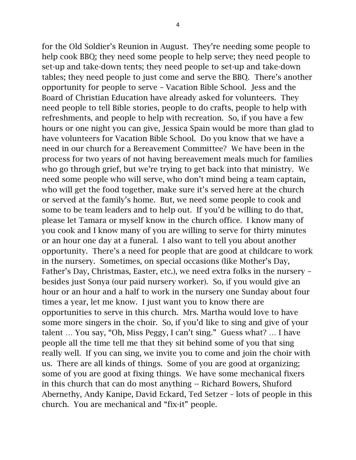for the Old Soldier's Reunion in August. They're needing some people to help cook BBQ; they need some people to help serve; they need people to set-up and take-down tents; they need people to set-up and take-down tables; they need people to just come and serve the BBQ. There's another opportunity for people to serve – Vacation Bible School. Jess and the Board of Christian Education have already asked for volunteers. They need people to tell Bible stories, people to do crafts, people to help with refreshments, and people to help with recreation. So, if you have a few hours or one night you can give, Jessica Spain would be more than glad to have volunteers for Vacation Bible School. Do you know that we have a need in our church for a Bereavement Committee? We have been in the process for two years of not having bereavement meals much for families who go through grief, but we're trying to get back into that ministry. We need some people who will serve, who don't mind being a team captain, who will get the food together, make sure it's served here at the church or served at the family's home. But, we need some people to cook and some to be team leaders and to help out. If you'd be willing to do that, please let Tamara or myself know in the church office. I know many of you cook and I know many of you are willing to serve for thirty minutes or an hour one day at a funeral. I also want to tell you about another opportunity. There's a need for people that are good at childcare to work in the nursery. Sometimes, on special occasions (like Mother's Day, Father's Day, Christmas, Easter, etc.), we need extra folks in the nursery – besides just Sonya (our paid nursery worker). So, if you would give an hour or an hour and a half to work in the nursery one Sunday about four times a year, let me know. I just want you to know there are opportunities to serve in this church. Mrs. Martha would love to have some more singers in the choir. So, if you'd like to sing and give of your talent … You say, "Oh, Miss Peggy, I can't sing." Guess what? … I have people all the time tell me that they sit behind some of you that sing really well. If you can sing, we invite you to come and join the choir with us. There are all kinds of things. Some of you are good at organizing; some of you are good at fixing things. We have some mechanical fixers in this church that can do most anything -- Richard Bowers, Shuford Abernethy, Andy Kanipe, David Eckard, Ted Setzer – lots of people in this church. You are mechanical and "fix-it" people.